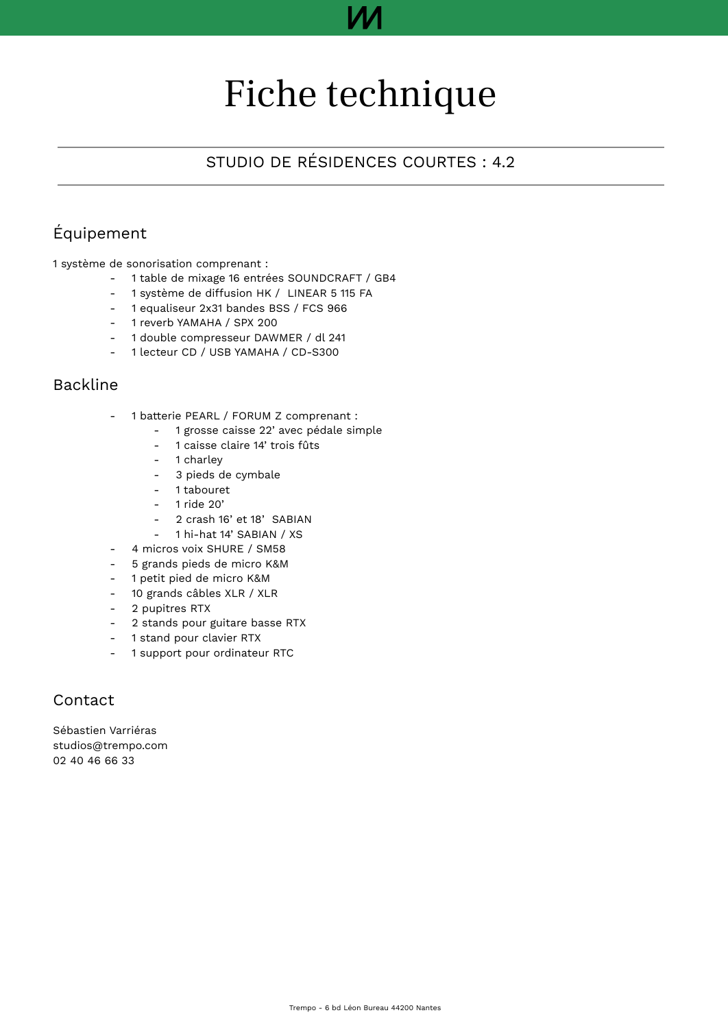# Fiche technique

### STUDIO DE RÉSIDENCES COURTES : 4.2

### Équipement

1 système de sonorisation comprenant :

- 1 table de mixage 16 entrées SOUNDCRAFT / GB4
- 1 système de diffusion HK / LINEAR 5 115 FA
- 1 equaliseur 2x31 bandes BSS / FCS 966
- 1 reverb YAMAHA / SPX 200
- 1 double compresseur DAWMER / dl 241
- 1 lecteur CD / USB YAMAHA / CD-S300

### Backline

- 1 batterie PEARL / FORUM Z comprenant :
	- 1 grosse caisse 22' avec pédale simple
	- 1 caisse claire 14' trois fûts
	- 1 charley
	- 3 pieds de cymbale
	- 1 tabouret
	- 1 ride 20'
	- 2 crash 16' et 18' SABIAN
	- 1 hi-hat 14' SABIAN / XS
- 4 micros voix SHURE / SM58
- 5 grands pieds de micro K&M
- 1 petit pied de micro K&M
- 10 grands câbles XLR / XLR
- 2 pupitres RTX
- 2 stands pour guitare basse RTX
- 1 stand pour clavier RTX
- 1 support pour ordinateur RTC

### Contact

Sébastien Varriéras studios@trempo.com 02 40 46 66 33